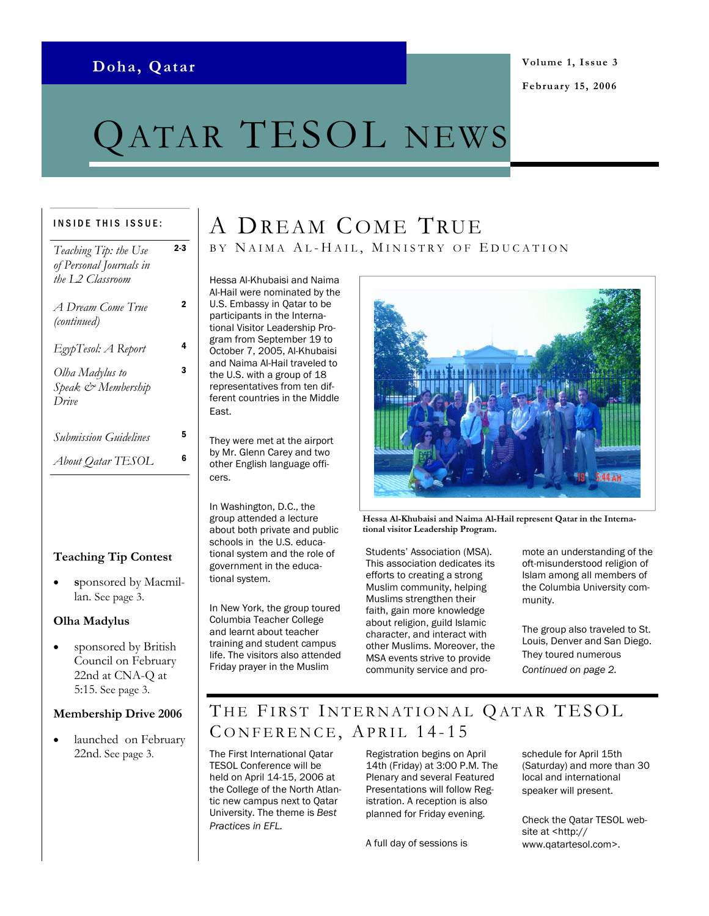### Doha, Qatar

# ATAR TESOL NEWS

#### INSIDE THIS ISSUE:

| Teaching Tip: the Use        | 2-3 |
|------------------------------|-----|
| of Personal Journals in      |     |
| the L2 Classroom             |     |
| A Dream Come True            | 2   |
| (continued)                  |     |
|                              |     |
| EgypTesol: A Report          | 4   |
| Olha Madylus to              | 3   |
| Speak & Membership           |     |
| Drive                        |     |
|                              |     |
| <b>Submission Guidelines</b> | 5   |
| About Qatar TESOL            | 6   |
|                              |     |

#### Teaching Tip Contest

sponsored by Macmillan. See page 3.

#### Olha Madylus

sponsored by British Council on February 22nd at CNA-Q at 5:15. See page 3.

#### Membership Drive 2006

launched on February 22nd. See page 3.

# A DREAM COME TRUE BY NAIMA AL-HAIL, MINISTRY OF EDUCATION

Hessa Al-Khubaisi and Naima Al-Hail were nominated by the U.S. Embassy in Qatar to be participants in the International Visitor Leadership Program from September 19 to October 7, 2005, Al-Khubaisi and Naima Al-Hail traveled to the U.S. with a group of 18 representatives from ten different countries in the Middle East.

They were met at the airport by Mr. Glenn Carey and two other English language officers.

In Washington, D.C., the group attended a lecture about both private and public schools in the U.S. educational system and the role of government in the educational system.

In New York, the group toured Columbia Teacher College and learnt about teacher training and student campus life. The visitors also attended Friday prayer in the Muslim



Hessa Al-Khubaisi and Naima Al-Hail represent Qatar in the International visitor Leadership Program.

Students' Association (MSA). This association dedicates its efforts to creating a strong Muslim community, helping Muslims strengthen their faith, gain more knowledge about religion, guild Islamic character, and interact with other Muslims. Moreover, the MSA events strive to provide community service and promote an understanding of the oft-misunderstood religion of Islam among all members of the Columbia University community.

The group also traveled to St. Louis, Denver and San Diego. They toured numerous Continued on page 2.

# THE FIRST INTERNATIONAL QATAR TESOL CONFERENCE, APRIL 14-15

The First International Qatar TESOL Conference will be held on April 14-15, 2006 at the College of the North Atlantic new campus next to Qatar University. The theme is Best Practices in EFL.

Registration begins on April 14th (Friday) at 3:00 P.M. The Plenary and several Featured Presentations will follow Registration. A reception is also planned for Friday evening.

A full day of sessions is

schedule for April 15th (Saturday) and more than 30 local and international speaker will present.

Check the Qatar TESOL website at <http:// www.qatartesol.com>.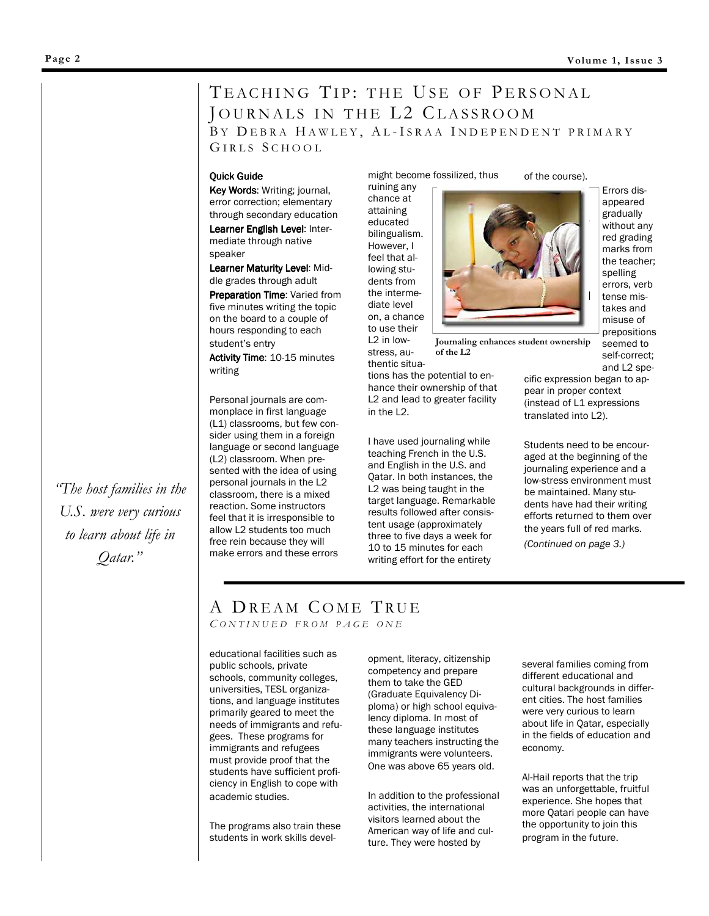## TEACHING TIP: THE USE OF PERSONAL JOURNALS IN THE L2 CLASSROOM BY DEBRA HAWLEY, AL-ISRAA INDEPENDENT PRIMARY

GIRLS SCHOOL

#### **Quick Guide**

Key Words: Writing; journal, error correction; elementary through secondary education Learner English Level: Intermediate through native speaker

Learner Maturity Level: Middle grades through adult

Preparation Time: Varied from five minutes writing the topic on the board to a couple of hours responding to each student's entry

Activity Time: 10-15 minutes writing

Personal journals are commonplace in first language (L1) classrooms, but few consider using them in a foreign language or second language (L2) classroom. When presented with the idea of using personal journals in the L2 classroom, there is a mixed reaction. Some instructors feel that it is irresponsible to allow L2 students too much free rein because they will make errors and these errors

might become fossilized, thus ruining any

chance at attaining educated bilingualism. However, I feel that allowing students from the intermediate level on, a chance to use their  $12$  in low-

of the course).

Errors disappeared gradually without any red grading marks from the teacher; spelling errors, verb tense mistakes and misuse of prepositions seemed to self-correct; and L2 spe-

stress, authentic situa-Journaling enhances student ownership of the L2

tions has the potential to enhance their ownership of that L2 and lead to greater facility in the L2.

I have used journaling while teaching French in the U.S. and English in the U.S. and Qatar. In both instances, the L2 was being taught in the target language. Remarkable results followed after consistent usage (approximately three to five days a week for 10 to 15 minutes for each writing effort for the entirety

cific expression began to appear in proper context (instead of L1 expressions translated into L2).

Students need to be encouraged at the beginning of the journaling experience and a low-stress environment must be maintained. Many students have had their writing efforts returned to them over the years full of red marks.

(Continued on page 3.)

#### A DREAM COME TRUE CONTINUED FROM PAGE ONE

educational facilities such as public schools, private schools, community colleges, universities, TESL organizations, and language institutes primarily geared to meet the needs of immigrants and refugees. These programs for immigrants and refugees must provide proof that the students have sufficient proficiency in English to cope with academic studies.

The programs also train these students in work skills devel-

opment, literacy, citizenship competency and prepare them to take the GED (Graduate Equivalency Diploma) or high school equivalency diploma. In most of these language institutes many teachers instructing the immigrants were volunteers. One was above 65 years old.

In addition to the professional activities, the international visitors learned about the American way of life and culture. They were hosted by

several families coming from different educational and cultural backgrounds in different cities. The host families were very curious to learn about life in Qatar, especially in the fields of education and economy.

Al-Hail reports that the trip was an unforgettable, fruitful experience. She hopes that more Qatari people can have the opportunity to join this program in the future.

"The host families in the U.S. were very curious to learn about life in Qatar."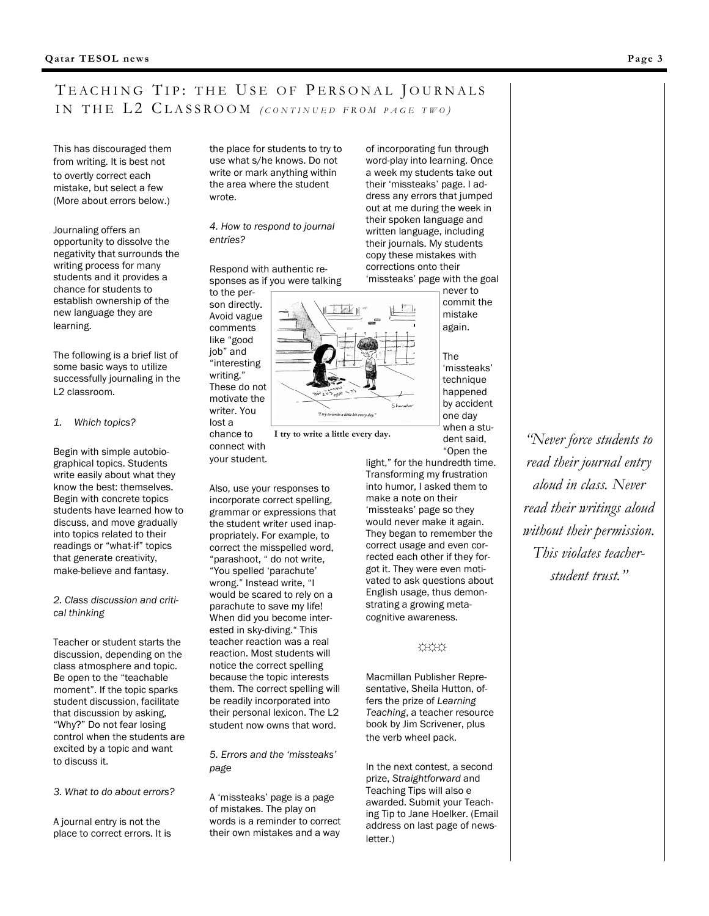### TEACHING TIP: THE USE OF PERSONAL JOURNALS IN THE L2 CLASSROOM (CONTINUED FROM PAGE TWO)

This has discouraged them from writing. It is best not to overtly correct each mistake, but select a few (More about errors below.)

Journaling offers an opportunity to dissolve the negativity that surrounds the writing process for many students and it provides a chance for students to establish ownership of the new language they are learning.

The following is a brief list of some basic ways to utilize successfully journaling in the L2 classroom.

#### 1. Which topics?

Begin with simple autobiographical topics. Students write easily about what they know the best: themselves. Begin with concrete topics students have learned how to discuss, and move gradually into topics related to their readings or "what-if" topics that generate creativity, make-believe and fantasy.

2. Class discussion and critical thinking

Teacher or student starts the discussion, depending on the class atmosphere and topic. Be open to the "teachable moment". If the topic sparks student discussion, facilitate that discussion by asking, "Why?" Do not fear losing control when the students are excited by a topic and want to discuss it.

3. What to do about errors?

A journal entry is not the place to correct errors. It is the place for students to try to use what s/he knows. Do not write or mark anything within the area where the student wrote.

4. How to respond to journal entries?

Respond with authentic responses as if you were talking

lost a

connect with your student.



I try to write a little every day.

Also, use your responses to incorporate correct spelling, grammar or expressions that the student writer used inappropriately. For example, to correct the misspelled word, "parashoot, " do not write, "You spelled 'parachute' wrong." Instead write, "I would be scared to rely on a parachute to save my life! When did you become interested in sky-diving." This teacher reaction was a real reaction. Most students will notice the correct spelling because the topic interests them. The correct spelling will be readily incorporated into their personal lexicon. The L2 student now owns that word.

5. Errors and the 'missteaks' page

A 'missteaks' page is a page of mistakes. The play on words is a reminder to correct their own mistakes and a way

of incorporating fun through word-play into learning. Once a week my students take out their 'missteaks' page. I address any errors that jumped out at me during the week in their spoken language and written language, including their journals. My students copy these mistakes with corrections onto their 'missteaks' page with the goal never to

> commit the mistake again.

The 'missteaks' technique happened by accident one day when a student said, "Open the

light," for the hundredth time. Transforming my frustration into humor, I asked them to make a note on their 'missteaks' page so they would never make it again. They began to remember the correct usage and even corrected each other if they forgot it. They were even motivated to ask questions about English usage, thus demonstrating a growing metacognitive awareness.

#### ☼☼☼

Macmillan Publisher Representative, Sheila Hutton, offers the prize of Learning Teaching, a teacher resource book by Jim Scrivener, plus the verb wheel pack.

In the next contest, a second prize, Straightforward and Teaching Tips will also e awarded. Submit your Teaching Tip to Jane Hoelker. (Email address on last page of newsletter.)

"Never force students to read their journal entry aloud in class. Never read their writings aloud without their permission. This violates teacherstudent trust."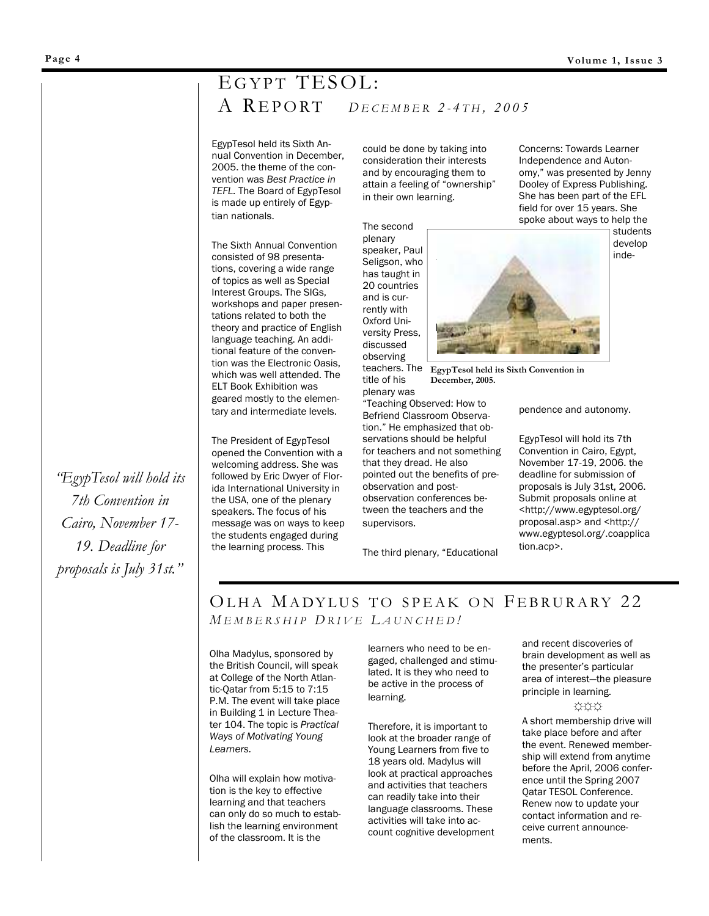# EGYPT TESOL:  $A$  REPORT DECEMBER 2-4TH, 2005

EgypTesol held its Sixth Annual Convention in December, 2005. the theme of the convention was Best Practice in TEFL. The Board of EgypTesol is made up entirely of Egyptian nationals.

The Sixth Annual Convention consisted of 98 presentations, covering a wide range of topics as well as Special Interest Groups. The SIGs, workshops and paper presentations related to both the theory and practice of English language teaching. An additional feature of the convention was the Electronic Oasis, which was well attended. The ELT Book Exhibition was geared mostly to the elementary and intermediate levels.

The President of EgypTesol opened the Convention with a welcoming address. She was followed by Eric Dwyer of Florida International University in the USA, one of the plenary speakers. The focus of his message was on ways to keep the students engaged during the learning process. This

could be done by taking into consideration their interests and by encouraging them to attain a feeling of "ownership" in their own learning.

The second

plenary speaker, Paul Seligson, who has taught in 20 countries and is currently with Oxford University Press, discussed observing teachers. The EgypTesol held its Sixth Convention in

title of his plenary was

"Teaching Observed: How to Befriend Classroom Observation." He emphasized that observations should be helpful for teachers and not something that they dread. He also pointed out the benefits of preobservation and postobservation conferences between the teachers and the supervisors.

December, 2005.

The third plenary, "Educational

Concerns: Towards Learner Independence and Autonomy," was presented by Jenny Dooley of Express Publishing. She has been part of the EFL field for over 15 years. She spoke about ways to help the

> students develop inde-

pendence and autonomy.

EgypTesol will hold its 7th Convention in Cairo, Egypt, November 17-19, 2006. the deadline for submission of proposals is July 31st, 2006. Submit proposals online at <http://www.egyptesol.org/ proposal.asp> and <http:// www.egyptesol.org/.coapplica tion.acp>.

### OLHA MADYLUS TO SPEAK ON FEBRURARY 22 MEMBERSHIP DRIVE LAUNCHED!

Olha Madylus, sponsored by the British Council, will speak at College of the North Atlantic-Qatar from 5:15 to 7:15 P.M. The event will take place in Building 1 in Lecture Theater 104. The topic is Practical Ways of Motivating Young Learners.

Olha will explain how motivation is the key to effective learning and that teachers can only do so much to establish the learning environment of the classroom. It is the

learners who need to be engaged, challenged and stimulated. It is they who need to be active in the process of learning.

Therefore, it is important to look at the broader range of Young Learners from five to 18 years old. Madylus will look at practical approaches and activities that teachers can readily take into their language classrooms. These activities will take into account cognitive development and recent discoveries of brain development as well as the presenter's particular area of interest—the pleasure principle in learning.

☼☼☼

A short membership drive will take place before and after the event. Renewed membership will extend from anytime before the April, 2006 conference until the Spring 2007 Qatar TESOL Conference. Renew now to update your contact information and receive current announcements.

"EgypTesol will hold its 7th Convention in Cairo, November 17- 19. Deadline for proposals is July 31st."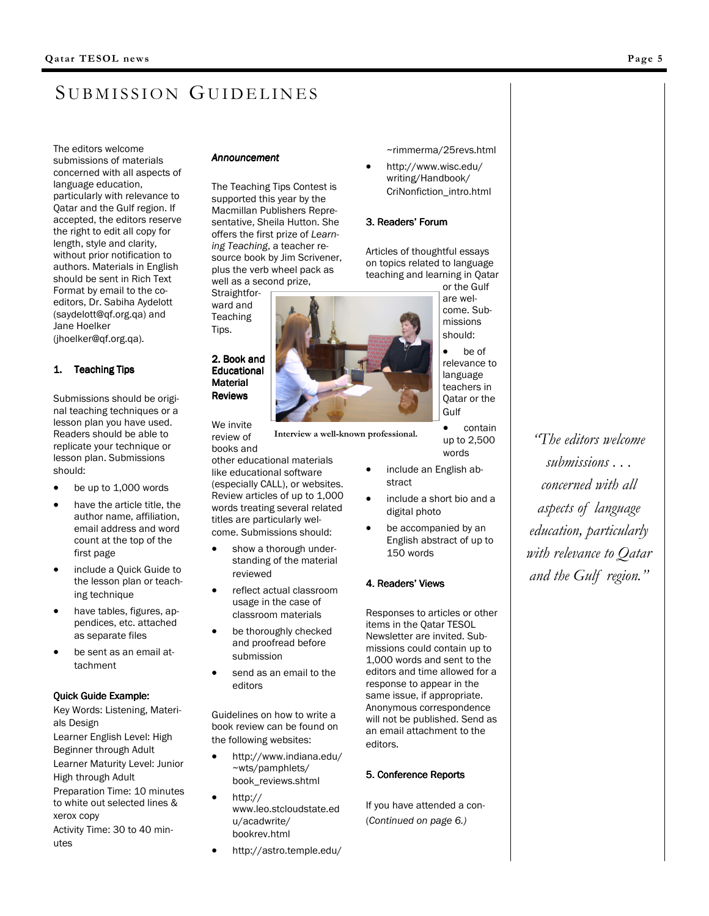# SUBMISSION GUIDELINES

The editors welcome submissions of materials concerned with all aspects of language education, particularly with relevance to Qatar and the Gulf region. If accepted, the editors reserve the right to edit all copy for length, style and clarity, without prior notification to authors. Materials in English should be sent in Rich Text Format by email to the coeditors, Dr. Sabiha Aydelott (saydelott@qf.org.qa) and Jane Hoelker (jhoelker@qf.org.qa).

#### 1. Teaching Tips

Submissions should be original teaching techniques or a lesson plan you have used. Readers should be able to replicate your technique or lesson plan. Submissions should:

- be up to 1,000 words
- have the article title, the author name, affiliation, email address and word count at the top of the first page
- include a Quick Guide to the lesson plan or teaching technique
- have tables, figures, appendices, etc. attached as separate files
- be sent as an email attachment

#### Quick Guide Example:

Key Words: Listening, Materials Design

Learner English Level: High Beginner through Adult Learner Maturity Level: Junior High through Adult

Preparation Time: 10 minutes to white out selected lines & xerox copy Activity Time: 30 to 40 min-

#### utes

#### **Announcement**

The Teaching Tips Contest is supported this year by the Macmillan Publishers Representative, Sheila Hutton. She offers the first prize of Learning Teaching, a teacher resource book by Jim Scrivener, plus the verb wheel pack as well as a second prize, Straightfor-

ward and Teaching Tips. 2. Book and

**Educational Material Reviews** 

We invite review of

books and other educational materials like educational software (especially CALL), or websites. Review articles of up to 1,000 words treating several related titles are particularly welcome. Submissions should:

- show a thorough understanding of the material reviewed
- reflect actual classroom usage in the case of classroom materials
- be thoroughly checked and proofread before submission
- send as an email to the editors

Guidelines on how to write a book review can be found on the following websites:

- http://www.indiana.edu/ ~wts/pamphlets/ book\_reviews.shtml
- http:// www.leo.stcloudstate.ed u/acadwrite/ bookrev.html
- http://astro.temple.edu/

~rimmerma/25revs.html

• http://www.wisc.edu/ writing/Handbook/ CriNonfiction\_intro.html

#### 3. Readers' Forum

Articles of thoughtful essays on topics related to language teaching and learning in Qatar or the Gulf

> are welcome. Submissions should:

be of relevance to language teachers in Qatar or the Gulf

• contain up to 2,500 words

- include an English abstract
- include a short bio and a digital photo
- be accompanied by an English abstract of up to 150 words

#### 4. Readers' Views

Responses to articles or other items in the Qatar TESOL Newsletter are invited. Submissions could contain up to 1,000 words and sent to the editors and time allowed for a response to appear in the same issue, if appropriate. Anonymous correspondence will not be published. Send as an email attachment to the editors.

#### 5. Conference Reports

If you have attended a con- (Continued on page 6.)

"The editors welcome submissions . . . concerned with all aspects of language education, particularly with relevance to Oatar and the Gulf region."



Interview a well-known professional.